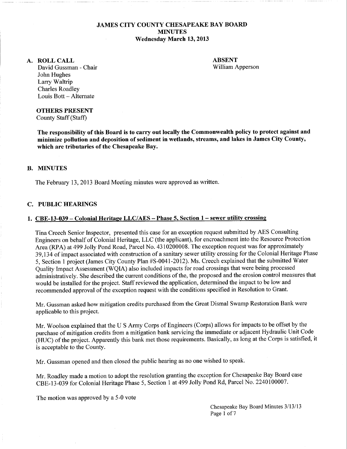## JAMES CITY COUNTY CHESAPEAKE BAY BOARD **MINUTES** Wednesday March 13,2013

#### A. ROLLCALL

ABSENT William Apperson

David Gussman - Chair John Hughes Larry Waltrip Charles Roadley Louis Bott - Alternate

#### OTHERS PRESENT

County Staff (Staff)

The responsibility of this Board is to carry out locally the Commonwealth policy to protect against and minimize pollution and deposition of sediment in wetlands, streams, and lakes in James City County, which are tributaries of the Chesapeake Bay.

### B. MINUTES

The February 13, 2013 Board Meeting minutes were approved as written.

#### C. PUBLIC HEARINGS

#### 1. CBE-13-039- Colonial Heritage LLC/AES- Phase 5, Section 1-sewer utility crossing

Tina Creech Senior Inspector, presented this case for an exception request submitted by AES Consulting Engineers on behalf of Colonial Heritage, LLC (the applicant), for encroachment into the Resource Protection Area (RPA) at 499 Jolly Pond Road, Parcel No. 4310200008. The exception request was for approximately 39,134 of impact associated with construction of a sanitary sewer utility crossing for the Colonial Heritage Phase 5, Section 1 project (James City County Plan #S-0041-2012). Ms. Creech explained that the submitted Water Quality Impact Assessment (WQIA) also included impacts for road crossings that were being processed administratively. She described the current conditions of the, the proposed and the erosion control measures that would be installed for the project. Staff reviewed the application, determined the impact to be low and recommended approval of the exception request with the conditions specified in Resolution to Grant.

Mr. Gussman asked how mitigation credits purchased from the Great Dismal Swamp Restoration Bank were applicable to this project.

Mr. Woolson explained that the U S Army Corps of Engineers (Corps) allows for impacts to be offset by the purchase of mitigation credits from a mitigation bank servicing the immediate or adjacent Hydraulic Unit Code (HUC) of the project. Apparently this bank met those requirements. Basically, as long at the Corps is satisfied, it is acceptable to the County.

Mr. Gussman opened and then closed the public hearing as no one wished to speak.

Mr. Roadley made a motion to adopt the resolution granting the exception for Chesapeake Bay Board case CBE-13-039 for Colonial Heritage Phase 5, Section 1 at 499 Jolly Pond Rd, Parcel No. 2240100007.

The motion was approved by a 5-0 vote

Chesapeake Bay Board Minutes 3/13/13 Page 1 of 7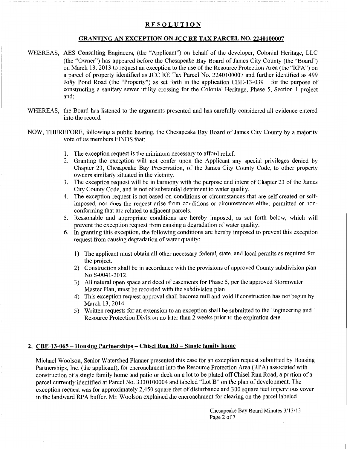# **RESOLUTION**

## GRANTING AN EXCEPTION ON JCC RE TAX PARCEL NO. 2240100007

- WHEREAS, AES Consulting Engineers, (the "Applicant") on behalf of the developer, Colonial Heritage, LLC (the "Owner") has appeared before the Chesapeake Bay Board of James City County (the "Board") on March 13, 2013 to request an exception to the use of the Resource Protection Area (the "RPA") on a parcel of property identified as JCC RE Tax Parcel No. 2240100007 and further identified as 499 Jolly Pond Road (the "Property") as set forth in the application CBE-13-039 for the purpose of constructing a sanitary sewer utility crossing for the Colonial Heritage, Phase 5, Section 1 project and;
- WHEREAS, the Board has listened to the arguments presented and has carefully considered all evidence entered into the record.
- NOW, THEREFORE, following a public hearing, the Chesapeake Bay Board of James City County by a majority vote of its members FINDS that:
	- 1. The exception request is the minimum necessary to afford relief.
	- 2. Granting the exception will not confer upon the Applicant any special privileges denied by Chapter 23, Chesapeake Bay Preservation, of the James City County Code, to other property owners similarly situated in the vicinity.
	- 3. The exception request will be in harmony with the purpose and intent of Chapter 23 of the James City County Code, and is not of substantial detriment to water quality.
	- 4. The exception request is not based on conditions or circumstances that are self-created or selfimposed, nor does the request arise from conditions or circumstances either permitted or nonconforming that are related to adjacent parcels.
	- 5. Reasonable and appropriate conditions are hereby imposed, as set forth below, which will prevent the exception request from causing a degradation of water quality.
	- 6. In granting this exception, the following conditions are hereby imposed to prevent this exception request from causing degradation of water quality:
		- 1) The applicant must obtain all other necessary federal, state, and local permits as required for the project.
		- 2) Construction shall be in accordance with the provisions of approved County subdivision plan No S-0041-2012.
		- 3) All natural open space and deed of easements for Phase 5, per the approved Stormwater Master Plan, must be recorded with the subdivision plan
		- 4) This exception request approval shall become null and void if construction has not begun by March 13,2014.
		- 5) Written requests for an extension to an exception shall be submitted to the Engineering and Resource Protection Division no later than 2 weeks prior to the expiration date.

### 2. CBE-13-065- Housing Partnerships- Chisel **Run** Rd- Single family home

Michael Woolson, Senior Watershed Planner presented this case for an exception request submitted by Housing Partnerships, Inc. (the applicant), for encroachment into the Resource Protection Area (RPA) associated with construction of a single family home and patio or deck on a lot to be plated off Chisel Run Road, a portion of a parcel currently identified at Parcel No. 3330100004 and labeled "Lot B" on the plan of development. The exception request was for approximately 2,450 square feet of disturbance and 300 square feet impervious cover in the landward RPA buffer. Mr. Woolson explained the encroachment for clearing on the parcel labeled

> Chesapeake Bay Board Minutes 3/13/13 Page 2 of 7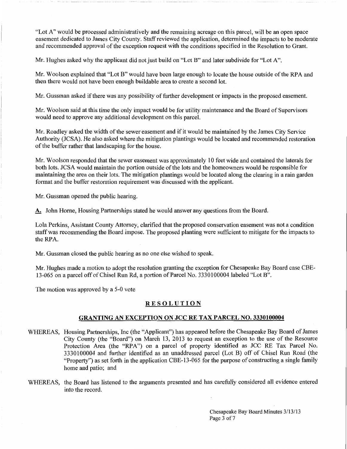"Lot A" would be processed administratively and the remaining acreage on this parcel, will be an open space easement dedicated to James City County. Staff reviewed the application, determined the impacts to be moderate and recommended approval of the exception request with the conditions specified in the Resolution to Grant.

Mr. Hughes asked why the applicant did not just build on "Lot B" and later subdivide for "Lot A".

Mr. Woolson explained that "Lot B" would have been large enough to locate the house outside ofthe RPA and then there would not have been enough buildable area to create a second lot.

Mr. Gussman asked if there was any possibility of further development or impacts in the proposed easement.

Mr. Woolson said at this time the only impact would be for utility maintenance and the Board of Supervisors would need to approve any additional development on this parcel.

Mr. Roadley asked the width of the sewer easement and if it would be maintained by the James City Service Authority (JCSA). He also asked where the mitigation plantings would be located and recommended restoration of the buffer rather that landscaping for the house.

Mr. Woolson responded that the sewer easement was approximately 10 feet wide and contained the laterals for both lots. JCSA would maintain the portion outside of the lots and the homeowners would be responsible for maintaining the area on their lots. The mitigation plantings would be located along the clearing in a rain garden format and the buffer restoration requirement was discussed with the applicant.

Mr. Gussman opened the public hearing.

A. John Horne, Housing Partnerships stated he would answer any questions from the Board.

Lola Perkins, Assistant County Attorney, clarified that the proposed conservation easement was not a condition staff was recommending the Board impose. The proposed planting were sufficient to mitigate for the impacts to the RPA.

Mr. Gussman closed the public hearing as no one else wished to speak.

Mr. Hughes made a motion to adopt the resolution granting the exception for Chesapeake Bay Board case CBE-13-065 on a parcel off of Chisel Run Rd, a portion of Parcel No. 3330100004 labeled "Lot B".

The motion was approved by a 5-0 vote

## RESOLUTION

### GRANTING AN EXCEPTION ON JCC RE TAX PARCEL NO. 3330100004

- WHEREAS, Housing Partnerships, Inc (the "Applicant") has appeared before the Chesapeake Bay Board of James City County (the "Board") on March 13, 2013 to request an exception to the use of the Resource Protection Area (the "RPA") on a parcel of property identified as JCC RE Tax Parcel No. 3330100004 and further identified as an unaddressed parcel (Lot B) off of Chisel Run Road (the "Property") as set forth in the application CBE-13-065 for the purpose of constructing a single family home and patio; and
- WHEREAS, the Board has listened to the arguments presented and has carefully considered all evidence entered into the record.

Chesapeake Bay Board Minutes 3/13/13 Page 3 of 7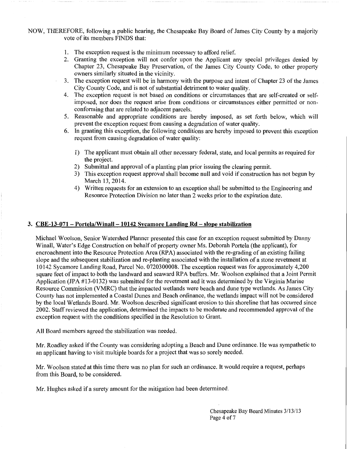NOW, THEREFORE, following a public hearing, the Chesapeake Bay Board of James City County by a majority vote of its members FINDS that:

- 1. The exception request is the minimum necessary to afford relief.
- 2. Granting the exception will not confer upon the Applicant any special privileges denied by Chapter 23, Chesapeake Bay Preservation, of the James City County Code, to other property owners similarly situated in the vicinity.
- 3. The exception request will be in harmony with the purpose and intent of Chapter 23 of the James City County Code, and is not of substantial detriment to water quality.
- 4. The exception request is not based on conditions or circumstances that are self-created or selfimposed, nor does the request arise from conditions or circumstances either permitted or nonconforming that are related to adjacent parcels.
- 5. Reasonable and appropriate conditions are hereby imposed, as set forth below, which will prevent the exception request from causing a degradation of water quality.
- 6. In granting this exception, the following conditions are hereby imposed to prevent this exception request from causing degradation of water quality:
	- 1) The applicant must obtain all other necessary federal, state, and local permits as required for the project.
	- 2) Submittal and approval of a planting plan prior issuing the clearing permit.
	- 3) This exception request approval shall become null and void if construction has not begun by March 13,2014.
	- 4) Written requests for an extension to an exception shall be submitted to the Engineering and Resource Protection Division no later than 2 weeks prior to the expiration date.

## **3. CBE-13-071 - Portela/Winall- 10142 Sycamore Landing Rd- slope stabilization**

Michael Woolson, Senior Watershed Planner presented this case for an exception request submitted by Danny Winall, Water's Edge Construction on behalf of property owner Ms. Deborah Portela (the applicant), for encroachment into the Resource Protection Area (RPA) associated with the re-grading of an existing failing slope and the subsequent stabilization and re-planting associated with the installation of a stone revetment at 10142 Sycamore Landing Road, Parcel No. 0720300008. The exception request was for approximately 4,200 square feet of impact to both the landward and seaward RPA buffers. Mr. Woolson explained that a Joint Permit Application (JPA #13-0132) was submitted for the revetment and it was determined by the Virginia Marine Resource Commission (VMRC) that the impacted wetlands were beach and dune type wetlands. As James City County has not implemented a Coastal Dunes and Beach ordinance, the wetlands impact will not be considered by the local Wetlands Board. Mr. Woolson described significant erosion to this shoreline that has occurred since 2002. Staff reviewed the application, determined the impacts to be moderate and recommended approval of the exception request with the conditions specified in the Resolution to Grant.

All Board members agreed the stabilization was needed.

Mr. Roadley asked if the County was considering adopting a Beach and Dune ordinance. He was sympathetic to an applicant having to visit multiple boards for a project that was so sorely needed.

Mr. Woolson stated at this time there was no plan for such an ordinance. It would require a request, perhaps from this Board, to be considered.

Mr. Hughes asked if a surety amount for the mitigation had been determined.

Chesapeake Bay Board Minutes 3/13/13 Page 4 of 7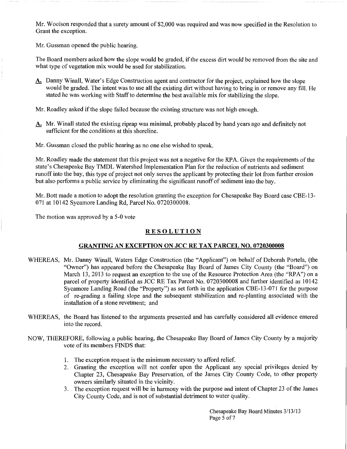Mr. Woolson responded that a surety amount of \$2,000 was required and was now specified in the Resolution to Grant the exception.

Mr. Gussman opened the public hearing.

The Board members asked how the slope would be graded, if the excess dirt would be removed from the site and what type of vegetation mix would be used for stabilization.

A. Danny Winall, Water's Edge Construction agent and contractor for the project, explained how the slope would be graded. The intent was to use all the existing dirt without having to bring in or remove any fill. He stated he was working with Staff to determine the best available mix for stabilizing the slope.

Mr. Roadley asked if the slope failed because the existing structure was not high enough.

A. Mr. Winall stated the existing riprap was minimal, probably placed by hand years ago and definitely not sufficient for the conditions at this shoreline.

Mr. Gussman closed the public hearing as no one else wished to speak.

Mr. Roadley made the statement that this project was not a negative for the RPA. Given the requirements of the state's Chesapeake Bay TMDL Watershed Implementation Plan for the reduction of nutrients and sediment runoff into the bay, this type of project not only serves the applicant by protecting their lot from further erosion but also performs a public service by eliminating the significant runoff of sediment into the bay.

Mr. Bott made a motion to adopt the resolution granting the exception for Chesapeake Bay Board case CBE-13- 071 at 10142 Sycamore Landing Rd, Parcel No. 0720300008.

The motion was approved by a 5-0 vote

# RESOLUTION

## GRANTING AN EXCEPTION ON JCC RE TAX PARCEL NO. 0720300008

- WHEREAS, Mr. Danny Winall, Waters Edge Construction (the "Applicant") on behalf of Deborah Portela, (the "Owner") has appeared before the Chesapeake Bay Board of James City County (the "Board") on March 13, 2013 to request an exception to the use of the Resource Protection Area (the "RPA") on a parcel of property identified as JCC RE Tax Parcel No. 0720300008 and further identified as 10142 Sycamore Landing Road (the "Property") as set forth in the application CBE-13-071 for the purpose of re-grading a failing slope and the subsequent stabilization and re-planting associated with the installation of a stone revetment; and
- WHEREAS, the Board has listened to the arguments presented and has carefully considered all evidence entered into the record.
- NOW, THEREFORE, following a public hearing, the Chesapeake Bay Board of James City County by a majority vote of its members FINDS that:
	- 1. The exception request is the minimum necessary to afford relief.
	- 2. Granting the exception will not confer upon the Applicant any special privileges denied by Chapter 23, Chesapeake Bay Preservation, of the James City County Code, to other property owners similarly situated in the vicinity.
	- 3. The exception request will be in harmony with the purpose and intent of Chapter 23 of the James City County Code, and is not of substantial detriment to water quality.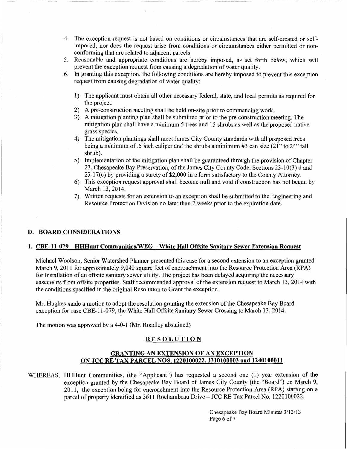- 4. The exception request is not based on conditions or circumstances that are self-created or selfimposed, nor does the request arise from conditions or circumstances either permitted or nonconforming that are related to adjacent parcels.
- 5. Reasonable and appropriate conditions are hereby imposed, as set forth below, which will prevent the exception request from causing a degradation of water quality.
- 6. In granting this exception, the following conditions are hereby imposed to prevent this exception request from causing degradation of water quality:
	- 1) The applicant must obtain all other necessary federal, state, and local permits as required for the project.
	- 2) A pre-construction meeting shall be held on-site prior to commencing work.
	- 3) A mitigation planting plan shall be submitted prior to the pre-construction meeting. The mitigation plan shall have a minimum 5 trees and 15 shrubs as well as the proposed native grass species.
	- 4) The mitigation plantings shall meet James City County standards with all proposed trees being a minimum of .5 inch caliper and the shrubs a minimum #3 can size (21" to 24" tall shrub).
	- 5) Implementation of the mitigation plan shall be guaranteed through the provision of Chapter 23, Chesapeake Bay Preservation, of the James City County Code, Sections 23-10(3) d and 23-17(c) by providing a surety of \$2,000 in a form satisfactory to the County Attorney.
	- 6) This exception request approval shall become null and void if construction has not begun by March 13, 2014.
	- 7) Written requests for an extension to an exception shall be submitted to the Engineering and Resource Protection Division no later than 2 weeks prior to the expiration date.

### D. BOARD CONSIDERATIONS

## 1. CBE-11-079- HHHunt Communities/WEG- White Hall Offsite Sanitary Sewer Extension Request

Michael Woolson, Senior Watershed Planner presented this case for a second extension to an exception granted March 9, 2011 for approximately 9,040 square feet of encroachment into the Resource Protection Area (RPA) for installation of an offsite sanitary sewer utility. The project has been delayed acquiring the necessary easements from offsite properties. Staff recommended approval of the extension request to March 13, 2014 with the conditions specified in the original Resolution to Grant the exception.

Mr. Hughes made a motion to adopt the resolution granting the extension of the Chesapeake Bay Board exception for case CBE-11-079, the White Hall Offsite Sanitary Sewer Crossing to March 13, 2014.

The motion was approved by a 4-0-1 (Mr. Roadley abstained)

### **RESOLUTION**

# GRANTING AN EXTENSION OF AN EXCEPTION ON JCC RE TAX PARCEL NOS. 1220100022, 1310100003 and 1240100011

WHEREAS, HHHunt Communities, (the "Applicant") has requested a second one (1) year extension of the exception granted by the Chesapeake Bay Board of James City County (the "Board") on March 9, 2011, the exception being for encroachment into the Resource Protection Area (RPA) starting on a parcel of property identified as 3611 Rochambeau Drive- JCC RE Tax Parcel No. 1220100022,

> Chesapeake Bay Board Minutes 3/13/13 Page 6 of 7